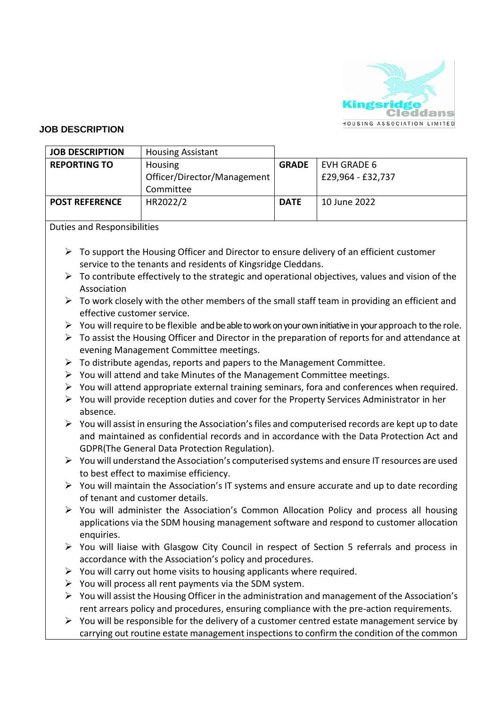

## **JOB DESCRIPTION**

| <b>JOB DESCRIPTION</b> | <b>Housing Assistant</b>                 |              |                   |
|------------------------|------------------------------------------|--------------|-------------------|
| <b>REPORTING TO</b>    | Housing                                  | <b>GRADE</b> | EVH GRADE 6       |
|                        | Officer/Director/Management<br>Committee |              | £29,964 - £32,737 |
| <b>POST REFERENCE</b>  | HR2022/2                                 | <b>DATE</b>  | 10 June 2022      |

Duties and Responsibilities

- ➢ To support the Housing Officer and Director to ensure delivery of an efficient customer service to the tenants and residents of Kingsridge Cleddans.
- $\triangleright$  To contribute effectively to the strategic and operational objectives, values and vision of the Association
- $\triangleright$  To work closely with the other members of the small staff team in providing an efficient and effective customer service.
- $\triangleright$  You will require to be flexible and be able to work on your own initiative in your approach to the role.
- ➢ To assist the Housing Officer and Director in the preparation of reports for and attendance at evening Management Committee meetings.
- $\triangleright$  To distribute agendas, reports and papers to the Management Committee.
- $\triangleright$  You will attend and take Minutes of the Management Committee meetings.
- $\triangleright$  You will attend appropriate external training seminars, fora and conferences when required.
- $\triangleright$  You will provide reception duties and cover for the Property Services Administrator in her absence.
- $\triangleright$  You will assist in ensuring the Association's files and computerised records are kept up to date and maintained as confidential records and in accordance with the Data Protection Act and GDPR(The General Data Protection Regulation).
- $\triangleright$  You will understand the Association's computerised systems and ensure IT resources are used to best effect to maximise efficiency.
- ➢ You will maintain the Association's IT systems and ensure accurate and up to date recording of tenant and customer details.
- $\triangleright$  You will administer the Association's Common Allocation Policy and process all housing applications via the SDM housing management software and respond to customer allocation enquiries.
- ➢ You will liaise with Glasgow City Council in respect of Section 5 referrals and process in accordance with the Association's policy and procedures.
- $\triangleright$  You will carry out home visits to housing applicants where required.
- $\triangleright$  You will process all rent payments via the SDM system.
- $\triangleright$  You will assist the Housing Officer in the administration and management of the Association's rent arrears policy and procedures, ensuring compliance with the pre-action requirements.
- $\triangleright$  You will be responsible for the delivery of a customer centred estate management service by carrying out routine estate management inspections to confirm the condition of the common